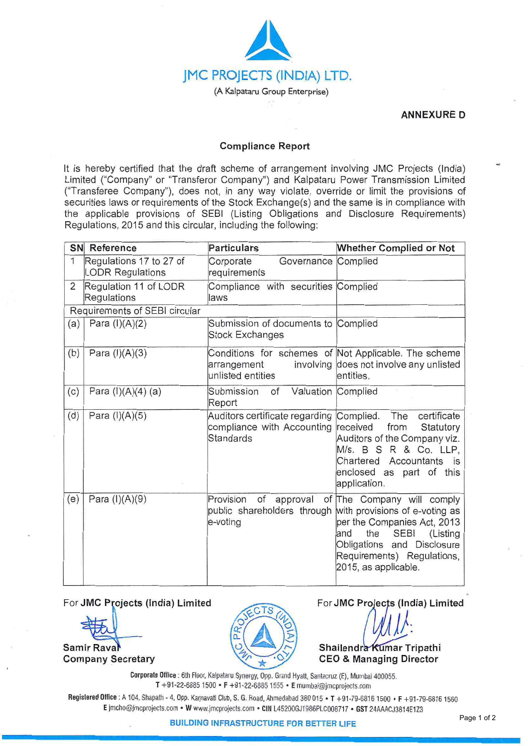

**ANNEXURE D** 

## **Compliance Report**

It is hereby certified that the draft scheme of arrangement involving JMC Projects (India) Limited ("Company" or "Transferor Company") and Kalpataru Power Transmission Limited ("Transferee Company"), does not, in any way violate, override or limit the provisions of securities laws or requirements of the Stock Exchange(s) and the same is in compliance with the applicable provisions of SEBI (Listing Obligations and Disclosure Requirements) Regulations, 2015 and this circular, including the following:

|                               | <b>SN</b> Reference                                | <b>Particulars</b>                                                               | <b>Whether Complied or Not</b>                                                                                                                                                                                           |
|-------------------------------|----------------------------------------------------|----------------------------------------------------------------------------------|--------------------------------------------------------------------------------------------------------------------------------------------------------------------------------------------------------------------------|
| $\mathbf{1}$                  | Regulations 17 to 27 of<br><b>LODR Regulations</b> | Corporate<br>Governance<br>requirements                                          | Complied                                                                                                                                                                                                                 |
| $\overline{2}$                | Regulation 11 of LODR<br>Regulations               | Compliance with securities Complied<br>laws                                      |                                                                                                                                                                                                                          |
| Requirements of SEBI circular |                                                    |                                                                                  |                                                                                                                                                                                                                          |
| (a)                           | Para $(I)(A)(2)$                                   | Submission of documents to Complied<br><b>Stock Exchanges</b>                    |                                                                                                                                                                                                                          |
| (b)                           | Para $(I)(A)(3)$                                   | involving<br>arrangement<br>unlisted entities                                    | Conditions for schemes of Not Applicable. The scheme<br>does not involve any unlisted<br>entities.                                                                                                                       |
| (c)                           | Para (I)(A)(4) (a)                                 | Valuation<br>Submission<br>of<br>Report                                          | Complied                                                                                                                                                                                                                 |
| (d)                           | Para $(l)(A)(5)$                                   | Auditors certificate regarding<br>compliance with Accounting<br><b>Standards</b> | The<br>certificate<br>Complied.<br>received<br>from<br>Statutory<br>Auditors of the Company viz.<br>M/s. B S R & Co. LLP,<br>Chartered Accountants is<br>enclosed as part of this<br>application.                        |
| (e)                           | Para $(I)(A)(9)$                                   | Provision<br>of<br>approval<br>public shareholders through<br>e-voting           | of The Company will comply<br>with provisions of e-voting as<br>per the Companies Act, 2013<br><b>SEBI</b><br>the<br>and<br>(Listing<br>Obligations and Disclosure<br>Requirements) Regulations,<br>2015, as applicable. |

For **JMC Projects (India) Limited For JMC Projects (India) Limited** 

**Samir Raval** 

**Company Secretary** 



*)}:* 

**Shailendra Kumar Tripathi CEO & Managing Director** 

**Corporate Office :** 6th Floor, Kalpataru Synergy, Opp. Grand Hyatt, Santacruz (E), Mumbai 400055. **T** +91-22-6885 1500 • **F** +91-22-6885 1555 • **E** mumbai@jmcprojects.com

Registered Office: A 104, Shapath - 4, Opp. Karnavati Club, S. G. Road, Ahmedabad 380 015 • T +91-79-6816 1500 • F +91-79-6816 1560 **E** jmcho@jmcprojects.com • **W** www.jmcprojects.com • **CIN** L45200GJ1986PLC008717 • **GST** 24AAACJ3814E1 Z3

**BUILDING INFRASTRUCTURE FOR BETTER LIFE**